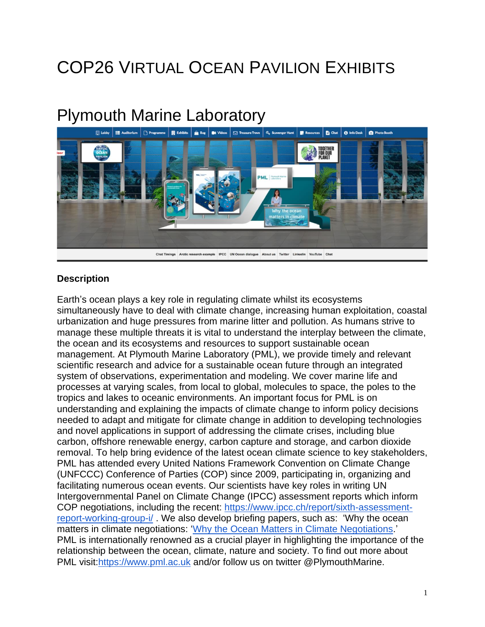# COP26 VIRTUAL OCEAN PAVILION EXHIBITS

## Plymouth Marine Laboratory



#### **Description**

Earth's ocean plays a key role in regulating climate whilst its ecosystems simultaneously have to deal with climate change, increasing human exploitation, coastal urbanization and huge pressures from marine litter and pollution. As humans strive to manage these multiple threats it is vital to understand the interplay between the climate, the ocean and its ecosystems and resources to support sustainable ocean management. At Plymouth Marine Laboratory (PML), we provide timely and relevant scientific research and advice for a sustainable ocean future through an integrated system of observations, experimentation and modeling. We cover marine life and processes at varying scales, from local to global, molecules to space, the poles to the tropics and lakes to oceanic environments. An important focus for PML is on understanding and explaining the impacts of climate change to inform policy decisions needed to adapt and mitigate for climate change in addition to developing technologies and novel applications in support of addressing the climate crises, including blue carbon, offshore renewable energy, carbon capture and storage, and carbon dioxide removal. To help bring evidence of the latest ocean climate science to key stakeholders, PML has attended every United Nations Framework Convention on Climate Change (UNFCCC) Conference of Parties (COP) since 2009, participating in, organizing and facilitating numerous ocean events. Our scientists have key roles in writing UN Intergovernmental Panel on Climate Change (IPCC) assessment reports which inform COP negotiations, including the recent: [https://www.ipcc.ch/report/sixth-assessment](https://www.ipcc.ch/report/sixth-assessment-report-working-group-i/)[report-working-group-i/](https://www.ipcc.ch/report/sixth-assessment-report-working-group-i/) . We also develop briefing papers, such as: 'Why the ocean matters in climate negotiations: 'Why the Ocean Matters in Climate [Negotiations.](https://www.gla.ac.uk/media/Media_795093_smxx.pdf)' PML is internationally renowned as a crucial player in highlighting the importance of the relationship between the ocean, climate, nature and society. To find out more about PML visit[:https://www.pml.ac.uk](https://www.pml.ac.uk/) and/or follow us on twitter @PlymouthMarine.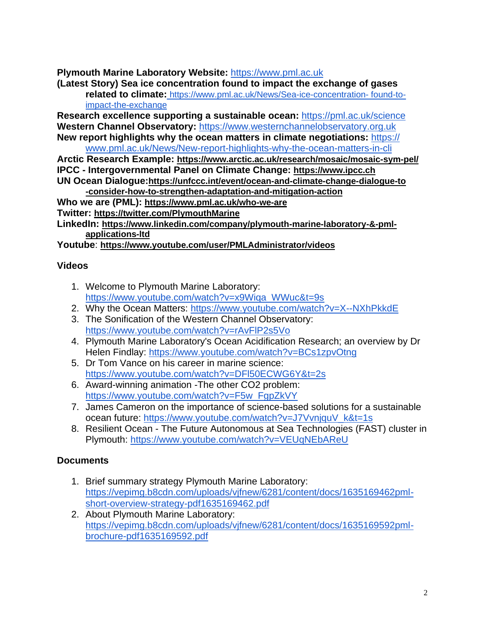**Plymouth Marine Laboratory Website:** [https://www.pml.ac.uk](https://www.pml.ac.uk/)

**(Latest Story) Sea ice concentration found to impact the exchange of gases related to climate[:](https://www.pml.ac.uk/News/Sea-ice-concentration-)** <https://www.pml.ac.uk/News/Sea-ice-concentration-> found-to[impact-the-exchange](https://www.pml.ac.uk/News/Sea-ice-concentration-)

**Research excellence supporting a sustainable ocean:** <https://pml.ac.uk/science> **Western Channel Observatory:** [https://www.westernchannelobservatory.org.uk](https://www.westernchannelobservatory.org.uk/) **New report highlights why the ocean matters in climate negotiations:** [https://](https://www.pml.ac.uk/News/New-report-highlights-why-the-ocean-matters-in-cli)

[www.pml.ac.uk/News/New-report-highlights-why-the-ocean-matters-in-cli](https://www.pml.ac.uk/News/New-report-highlights-why-the-ocean-matters-in-cli)

**Arctic Research Example: <https://www.arctic.ac.uk/research/mosaic/mosaic-sym-pel/> IPCC - Intergovernmental Panel on Climate Change: [https://www.ipcc.ch](https://www.ipcc.ch/) UN Ocean Dialogue:[https://unfccc.int/event/ocean-and-climate-change-dialogue-to](https://unfccc.int/event/ocean-and-climate-change-dialogue-to-consider-how-to-strengthen-adaptation-and-mitigation-action)**

**[-consider-how-to-strengthen-adaptation-and-mitigation-action](https://unfccc.int/event/ocean-and-climate-change-dialogue-to-consider-how-to-strengthen-adaptation-and-mitigation-action)**

**Who we are (PML): <https://www.pml.ac.uk/who-we-are>**

**Twitter: <https://twitter.com/PlymouthMarine>**

**LinkedIn: [https://www.linkedin.com/company/plymouth-marine-laboratory-&-pml](https://www.linkedin.com/company/plymouth-marine-laboratory-&-pml-applications-ltd)[applications-ltd](https://www.linkedin.com/company/plymouth-marine-laboratory-&-pml-applications-ltd)**

**Youtube**: **<https://www.youtube.com/user/PMLAdministrator/videos>**

#### **Videos**

- 1. Welcome to Plymouth Marine Laboratory: [https://www.youtube.com/watch?v=x9Wiqa\\_WWuc&t=9s](https://www.youtube.com/watch?v=x9Wiqa_WWuc&t=9s)
- 2. Why the Ocean Matters: <https://www.youtube.com/watch?v=X--NXhPkkdE>
- 3. The Sonification of the Western Channel Observatory: <https://www.youtube.com/watch?v=rAvFlP2s5Vo>
- 4. Plymouth Marine Laboratory's Ocean Acidification Research; an overview by Dr Helen Findlay: <https://www.youtube.com/watch?v=BCs1zpvOtng>
- 5. Dr Tom Vance on his career in marine science: <https://www.youtube.com/watch?v=DFl50ECWG6Y&t=2s>
- 6. Award-winning animation -The other CO2 problem: [https://www.youtube.com/watch?v=F5w\\_FgpZkVY](https://www.youtube.com/watch?v=F5w_FgpZkVY)
- 7. James Cameron on the importance of science-based solutions for a sustainable ocean future: [https://www.youtube.com/watch?v=J7VvnjquV\\_k&t=1s](https://www.youtube.com/watch?v=J7VvnjquV_k&t=1s)
- 8. Resilient Ocean The Future Autonomous at Sea Technologies (FAST) cluster in Plymouth: <https://www.youtube.com/watch?v=VEUqNEbAReU>

### **Documents**

- 1. Brief summary strategy Plymouth Marine Laboratory: [https://vepimg.b8cdn.com/uploads/vjfnew/6281/content/docs/1635169462pml](https://vepimg.b8cdn.com/uploads/vjfnew/6281/content/docs/1635169462pml-short-overview-strategy-pdf1635169462.pdf)[short-overview-strategy-pdf1635169462.pdf](https://vepimg.b8cdn.com/uploads/vjfnew/6281/content/docs/1635169462pml-short-overview-strategy-pdf1635169462.pdf)
- 2. About Plymouth Marine Laboratory: [https://vepimg.b8cdn.com/uploads/vjfnew/6281/content/docs/1635169592pml](https://vepimg.b8cdn.com/uploads/vjfnew/6281/content/docs/1635169592pml-brochure-pdf1635169592.pdf)[brochure-pdf1635169592.pdf](https://vepimg.b8cdn.com/uploads/vjfnew/6281/content/docs/1635169592pml-brochure-pdf1635169592.pdf)